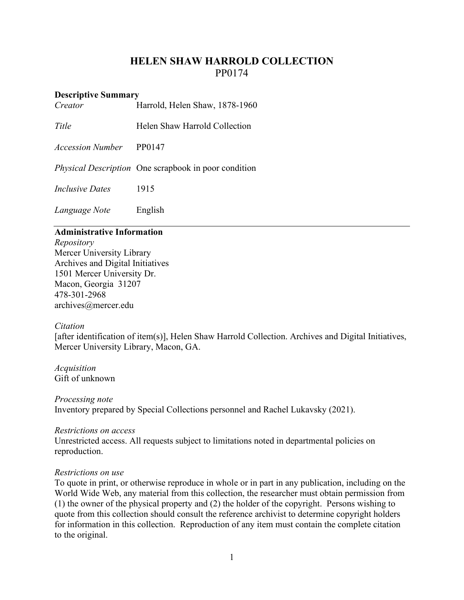# **HELEN SHAW HARROLD COLLECTION** PP0174

#### **Descriptive Summary**

*Creator* Harrold, Helen Shaw, 1878-1960

*Title* Helen Shaw Harrold Collection

*Accession Number* PP0147

*Physical Description* One scrapbook in poor condition

*Inclusive Dates* 1915

*Language Note* English

#### **Administrative Information**

*Repository* Mercer University Library Archives and Digital Initiatives 1501 Mercer University Dr. Macon, Georgia 31207 478-301-2968 [archives@mercer.edu](mailto:archives@mercer.edu)

# *Citation*

[after identification of item(s)], Helen Shaw Harrold Collection. Archives and Digital Initiatives, Mercer University Library, Macon, GA.

*Acquisition* Gift of unknown

*Processing note* Inventory prepared by Special Collections personnel and Rachel Lukavsky (2021).

#### *Restrictions on access*

Unrestricted access. All requests subject to limitations noted in departmental policies on reproduction.

# *Restrictions on use*

To quote in print, or otherwise reproduce in whole or in part in any publication, including on the World Wide Web, any material from this collection, the researcher must obtain permission from (1) the owner of the physical property and (2) the holder of the copyright. Persons wishing to quote from this collection should consult the reference archivist to determine copyright holders for information in this collection. Reproduction of any item must contain the complete citation to the original.